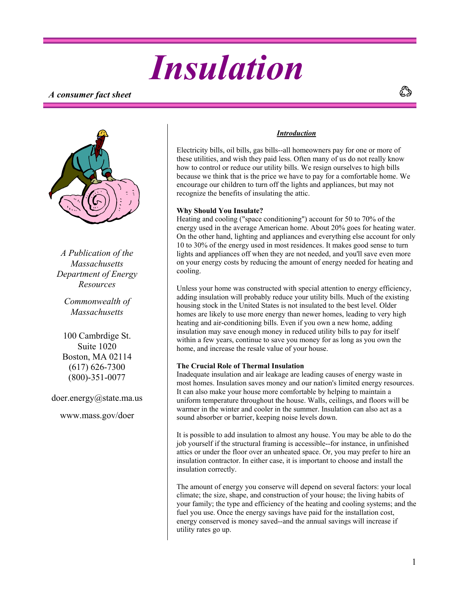# *Insulation*

## *A consumer fact sheet*





*A Publication of the Massachusetts Department of Energy Resources* 

*Commonwealth of Massachusetts*

100 Cambrdige St. Suite 1020 Boston, MA 02114 (617) 626-7300 (800)-351-0077

doer.energy@state.ma.us

www.mass.gov/doer

## *Introduction*

Electricity bills, oil bills, gas bills--all homeowners pay for one or more of these utilities, and wish they paid less. Often many of us do not really know how to control or reduce our utility bills. We resign ourselves to high bills because we think that is the price we have to pay for a comfortable home. We encourage our children to turn off the lights and appliances, but may not recognize the benefits of insulating the attic.

## **Why Should You Insulate?**

Heating and cooling ("space conditioning") account for 50 to 70% of the energy used in the average American home. About 20% goes for heating water. On the other hand, lighting and appliances and everything else account for only 10 to 30% of the energy used in most residences. It makes good sense to turn lights and appliances off when they are not needed, and you'll save even more on your energy costs by reducing the amount of energy needed for heating and cooling.

Unless your home was constructed with special attention to energy efficiency, adding insulation will probably reduce your utility bills. Much of the existing housing stock in the United States is not insulated to the best level. Older homes are likely to use more energy than newer homes, leading to very high heating and air-conditioning bills. Even if you own a new home, adding insulation may save enough money in reduced utility bills to pay for itself within a few years, continue to save you money for as long as you own the home, and increase the resale value of your house.

## **The Crucial Role of Thermal Insulation**

Inadequate insulation and air leakage are leading causes of energy waste in most homes. Insulation saves money and our nation's limited energy resources. It can also make your house more comfortable by helping to maintain a uniform temperature throughout the house. Walls, ceilings, and floors will be warmer in the winter and cooler in the summer. Insulation can also act as a sound absorber or barrier, keeping noise levels down.

It is possible to add insulation to almost any house. You may be able to do the job yourself if the structural framing is accessible--for instance, in unfinished attics or under the floor over an unheated space. Or, you may prefer to hire an insulation contractor. In either case, it is important to choose and install the insulation correctly.

The amount of energy you conserve will depend on several factors: your local climate; the size, shape, and construction of your house; the living habits of your family; the type and efficiency of the heating and cooling systems; and the fuel you use. Once the energy savings have paid for the installation cost, energy conserved is money saved--and the annual savings will increase if utility rates go up.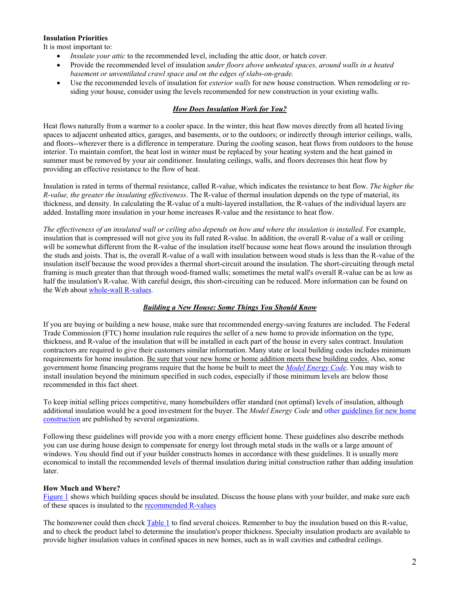#### **Insulation Priorities**

It is most important to:

- *Insulate your attic to the recommended level, including the attic door, or hatch cover.*
- Provide the recommended level of insulation *under floors above unheated spaces, around walls in a heated basement or unventilated crawl space and on the edges of slabs-on-grade.*
- Use the recommended levels of insulation for *exterior walls* for new house construction. When remodeling or residing your house, consider using the levels recommended for new construction in your existing walls.

## *How Does Insulation Work for You?*

Heat flows naturally from a warmer to a cooler space. In the winter, this heat flow moves directly from all heated living spaces to adjacent unheated attics, garages, and basements, or to the outdoors; or indirectly through interior ceilings, walls, and floors--wherever there is a difference in temperature. During the cooling season, heat flows from outdoors to the house interior. To maintain comfort, the heat lost in winter must be replaced by your heating system and the heat gained in summer must be removed by your air conditioner. Insulating ceilings, walls, and floors decreases this heat flow by providing an effective resistance to the flow of heat.

Insulation is rated in terms of thermal resistance, called R-value, which indicates the resistance to heat flow. *The higher the R-value, the greater the insulating effectiveness*. The R-value of thermal insulation depends on the type of material, its thickness, and density. In calculating the R-value of a multi-layered installation, the R-values of the individual layers are added. Installing more insulation in your home increases R-value and the resistance to heat flow.

*The effectiveness of an insulated wall or ceiling also depends on how and where the insulation is installed*. For example, insulation that is compressed will not give you its full rated R-value. In addition, the overall R-value of a wall or ceiling will be somewhat different from the R-value of the insulation itself because some heat flows around the insulation through the studs and joists. That is, the overall R-value of a wall with insulation between wood studs is less than the R-value of the insulation itself because the wood provides a thermal short-circuit around the insulation. The short-circuiting through metal framing is much greater than that through wood-framed walls; sometimes the metal wall's overall R-value can be as low as half the insulation's R-value. With careful design, this short-circuiting can be reduced. More information can be found on the Web about whole-wall R-values.

## *Building a New House: Some Things You Should Know*

If you are buying or building a new house, make sure that recommended energy-saving features are included. The Federal Trade Commission (FTC) home insulation rule requires the seller of a new home to provide information on the type, thickness, and R-value of the insulation that will be installed in each part of the house in every sales contract. Insulation contractors are required to give their customers similar information. Many state or local building codes includes minimum requirements for home insulation. Be sure that your new home or home addition meets these building codes. Also, some government home financing programs require that the home be built to meet the *Model Energy Code*. You may wish to install insulation beyond the minimum specified in such codes, especially if those minimum levels are below those recommended in this fact sheet.

To keep initial selling prices competitive, many homebuilders offer standard (not optimal) levels of insulation, although additional insulation would be a good investment for the buyer. The *Model Energy Code* and other guidelines for new home construction are published by several organizations.

Following these guidelines will provide you with a more energy efficient home. These guidelines also describe methods you can use during house design to compensate for energy lost through metal studs in the walls or a large amount of windows. You should find out if your builder constructs homes in accordance with these guidelines. It is usually more economical to install the recommended levels of thermal insulation during initial construction rather than adding insulation later.

#### **How Much and Where?**

Figure 1 shows which building spaces should be insulated. Discuss the house plans with your builder, and make sure each of these spaces is insulated to the recommended R-values

The homeowner could then check Table 1 to find several choices. Remember to buy the insulation based on this R-value, and to check the product label to determine the insulation's proper thickness. Specialty insulation products are available to provide higher insulation values in confined spaces in new homes, such as in wall cavities and cathedral ceilings.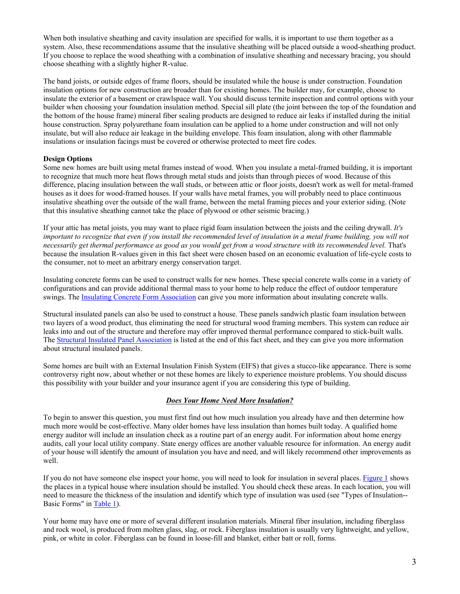When both insulative sheathing and cavity insulation are specified for walls, it is important to use them together as a system. Also, these recommendations assume that the insulative sheathing will be placed outside a wood-sheathing product. If you choose to replace the wood sheathing with a combination of insulative sheathing and necessary bracing, you should choose sheathing with a slightly higher R-value.

The band joists, or outside edges of frame floors, should be insulated while the house is under construction. Foundation insulation options for new construction are broader than for existing homes. The builder may, for example, choose to insulate the exterior of a basement or crawlspace wall. You should discuss termite inspection and control options with your builder when choosing your foundation insulation method. Special sill plate (the joint between the top of the foundation and the bottom of the house frame) mineral fiber sealing products are designed to reduce air leaks if installed during the initial house construction. Spray polyurethane foam insulation can be applied to a home under construction and will not only insulate, but will also reduce air leakage in the building envelope. This foam insulation, along with other flammable insulations or insulation facings must be covered or otherwise protected to meet fire codes.

#### **Design Options**

Some new homes are built using metal frames instead of wood. When you insulate a metal-framed building, it is important to recognize that much more heat flows through metal studs and joists than through pieces of wood. Because of this difference, placing insulation between the wall studs, or between attic or floor joists, doesn't work as well for metal-framed houses as it does for wood-framed houses. If your walls have metal frames, you will probably need to place continuous insulative sheathing over the outside of the wall frame, between the metal framing pieces and your exterior siding. (Note that this insulative sheathing cannot take the place of plywood or other seismic bracing.)

If your attic has metal joists, you may want to place rigid foam insulation between the joists and the ceiling drywall. *It's important to recognize that even if you install the recommended level of insulation in a metal frame building, you will not necessarily get thermal performance as good as you would get from a wood structure with its recommended level.* That's because the insulation R-values given in this fact sheet were chosen based on an economic evaluation of life-cycle costs to the consumer, not to meet an arbitrary energy conservation target.

Insulating concrete forms can be used to construct walls for new homes. These special concrete walls come in a variety of configurations and can provide additional thermal mass to your home to help reduce the effect of outdoor temperature swings. The Insulating Concrete Form Association can give you more information about insulating concrete walls.

Structural insulated panels can also be used to construct a house. These panels sandwich plastic foam insulation between two layers of a wood product, thus eliminating the need for structural wood framing members. This system can reduce air leaks into and out of the structure and therefore may offer improved thermal performance compared to stick-built walls. The Structural Insulated Panel Association is listed at the end of this fact sheet, and they can give you more information about structural insulated panels.

Some homes are built with an External Insulation Finish System (EIFS) that gives a stucco-like appearance. There is some controversy right now, about whether or not these homes are likely to experience moisture problems. You should discuss this possibility with your builder and your insurance agent if you are considering this type of building.

## *Does Your Home Need More Insulation?*

To begin to answer this question, you must first find out how much insulation you already have and then determine how much more would be cost-effective. Many older homes have less insulation than homes built today. A qualified home energy auditor will include an insulation check as a routine part of an energy audit. For information about home energy audits, call your local utility company. State energy offices are another valuable resource for information. An energy audit of your house will identify the amount of insulation you have and need, and will likely recommend other improvements as well.

If you do not have someone else inspect your home, you will need to look for insulation in several places. Figure 1 shows the places in a typical house where insulation should be installed. You should check these areas. In each location, you will need to measure the thickness of the insulation and identify which type of insulation was used (see "Types of Insulation-- Basic Forms" in Table 1).

Your home may have one or more of several different insulation materials. Mineral fiber insulation, including fiberglass and rock wool, is produced from molten glass, slag, or rock. Fiberglass insulation is usually very lightweight, and yellow, pink, or white in color. Fiberglass can be found in loose-fill and blanket, either batt or roll, forms.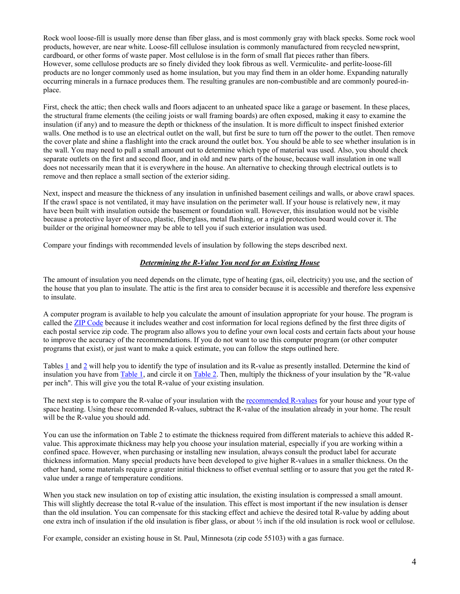Rock wool loose-fill is usually more dense than fiber glass, and is most commonly gray with black specks. Some rock wool products, however, are near white. Loose-fill cellulose insulation is commonly manufactured from recycled newsprint, cardboard, or other forms of waste paper. Most cellulose is in the form of small flat pieces rather than fibers. However, some cellulose products are so finely divided they look fibrous as well. Vermiculite- and perlite-loose-fill products are no longer commonly used as home insulation, but you may find them in an older home. Expanding naturally occurring minerals in a furnace produces them. The resulting granules are non-combustible and are commonly poured-inplace.

First, check the attic; then check walls and floors adjacent to an unheated space like a garage or basement. In these places, the structural frame elements (the ceiling joists or wall framing boards) are often exposed, making it easy to examine the insulation (if any) and to measure the depth or thickness of the insulation. It is more difficult to inspect finished exterior walls. One method is to use an electrical outlet on the wall, but first be sure to turn off the power to the outlet. Then remove the cover plate and shine a flashlight into the crack around the outlet box. You should be able to see whether insulation is in the wall. You may need to pull a small amount out to determine which type of material was used. Also, you should check separate outlets on the first and second floor, and in old and new parts of the house, because wall insulation in one wall does not necessarily mean that it is everywhere in the house. An alternative to checking through electrical outlets is to remove and then replace a small section of the exterior siding.

Next, inspect and measure the thickness of any insulation in unfinished basement ceilings and walls, or above crawl spaces. If the crawl space is not ventilated, it may have insulation on the perimeter wall. If your house is relatively new, it may have been built with insulation outside the basement or foundation wall. However, this insulation would not be visible because a protective layer of stucco, plastic, fiberglass, metal flashing, or a rigid protection board would cover it. The builder or the original homeowner may be able to tell you if such exterior insulation was used.

Compare your findings with recommended levels of insulation by following the steps described next.

#### *Determining the R-Value You need for an Existing House*

The amount of insulation you need depends on the climate, type of heating (gas, oil, electricity) you use, and the section of the house that you plan to insulate. The attic is the first area to consider because it is accessible and therefore less expensive to insulate.

A computer program is available to help you calculate the amount of insulation appropriate for your house. The program is called the ZIP Code because it includes weather and cost information for local regions defined by the first three digits of each postal service zip code. The program also allows you to define your own local costs and certain facts about your house to improve the accuracy of the recommendations. If you do not want to use this computer program (or other computer programs that exist), or just want to make a quick estimate, you can follow the steps outlined here.

Tables 1 and 2 will help you to identify the type of insulation and its R-value as presently installed. Determine the kind of insulation you have from Table 1, and circle it on Table 2. Then, multiply the thickness of your insulation by the "R-value per inch". This will give you the total R-value of your existing insulation.

The next step is to compare the R-value of your insulation with the recommended R-values for your house and your type of space heating. Using these recommended R-values, subtract the R-value of the insulation already in your home. The result will be the R-value you should add.

You can use the information on Table 2 to estimate the thickness required from different materials to achieve this added Rvalue. This approximate thickness may help you choose your insulation material, especially if you are working within a confined space. However, when purchasing or installing new insulation, always consult the product label for accurate thickness information. Many special products have been developed to give higher R-values in a smaller thickness. On the other hand, some materials require a greater initial thickness to offset eventual settling or to assure that you get the rated Rvalue under a range of temperature conditions.

When you stack new insulation on top of existing attic insulation, the existing insulation is compressed a small amount. This will slightly decrease the total R-value of the insulation. This effect is most important if the new insulation is denser than the old insulation. You can compensate for this stacking effect and achieve the desired total R-value by adding about one extra inch of insulation if the old insulation is fiber glass, or about  $\frac{1}{2}$  inch if the old insulation is rock wool or cellulose.

For example, consider an existing house in St. Paul, Minnesota (zip code 55103) with a gas furnace.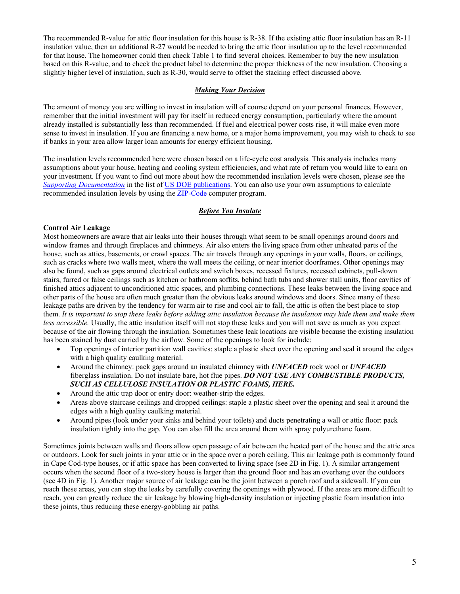The recommended R-value for attic floor insulation for this house is R-38. If the existing attic floor insulation has an R-11 insulation value, then an additional R-27 would be needed to bring the attic floor insulation up to the level recommended for that house. The homeowner could then check Table 1 to find several choices. Remember to buy the new insulation based on this R-value, and to check the product label to determine the proper thickness of the new insulation. Choosing a slightly higher level of insulation, such as R-30, would serve to offset the stacking effect discussed above.

## *Making Your Decision*

The amount of money you are willing to invest in insulation will of course depend on your personal finances. However, remember that the initial investment will pay for itself in reduced energy consumption, particularly where the amount already installed is substantially less than recommended. If fuel and electrical power costs rise, it will make even more sense to invest in insulation. If you are financing a new home, or a major home improvement, you may wish to check to see if banks in your area allow larger loan amounts for energy efficient housing.

The insulation levels recommended here were chosen based on a life-cycle cost analysis. This analysis includes many assumptions about your house, heating and cooling system efficiencies, and what rate of return you would like to earn on your investment. If you want to find out more about how the recommended insulation levels were chosen, please see the *Supporting Documentation* in the list of US DOE publications. You can also use your own assumptions to calculate recommended insulation levels by using the ZIP-Code computer program.

## *Before You Insulate*

#### **Control Air Leakage**

Most homeowners are aware that air leaks into their houses through what seem to be small openings around doors and window frames and through fireplaces and chimneys. Air also enters the living space from other unheated parts of the house, such as attics, basements, or crawl spaces. The air travels through any openings in your walls, floors, or ceilings, such as cracks where two walls meet, where the wall meets the ceiling, or near interior doorframes. Other openings may also be found, such as gaps around electrical outlets and switch boxes, recessed fixtures, recessed cabinets, pull-down stairs, furred or false ceilings such as kitchen or bathroom soffits, behind bath tubs and shower stall units, floor cavities of finished attics adjacent to unconditioned attic spaces, and plumbing connections. These leaks between the living space and other parts of the house are often much greater than the obvious leaks around windows and doors. Since many of these leakage paths are driven by the tendency for warm air to rise and cool air to fall, the attic is often the best place to stop them. *It is important to stop these leaks before adding attic insulation because the insulation may hide them and make them less accessible.* Usually, the attic insulation itself will not stop these leaks and you will not save as much as you expect because of the air flowing through the insulation. Sometimes these leak locations are visible because the existing insulation has been stained by dust carried by the airflow. Some of the openings to look for include:

- Top openings of interior partition wall cavities: staple a plastic sheet over the opening and seal it around the edges with a high quality caulking material.
- Around the chimney: pack gaps around an insulated chimney with *UNFACED* rock wool or *UNFACED* fiberglass insulation. Do not insulate bare, hot flue pipes. *DO NOT USE ANY COMBUSTIBLE PRODUCTS, SUCH AS CELLULOSE INSULATION OR PLASTIC FOAMS, HERE.*
- Around the attic trap door or entry door: weather-strip the edges.
- Areas above staircase ceilings and dropped ceilings: staple a plastic sheet over the opening and seal it around the edges with a high quality caulking material.
- Around pipes (look under your sinks and behind your toilets) and ducts penetrating a wall or attic floor: pack insulation tightly into the gap. You can also fill the area around them with spray polyurethane foam.

Sometimes joints between walls and floors allow open passage of air between the heated part of the house and the attic area or outdoors. Look for such joints in your attic or in the space over a porch ceiling. This air leakage path is commonly found in Cape Cod-type houses, or if attic space has been converted to living space (see 2D in Fig. 1). A similar arrangement occurs when the second floor of a two-story house is larger than the ground floor and has an overhang over the outdoors (see 4D in Fig. 1). Another major source of air leakage can be the joint between a porch roof and a sidewall. If you can reach these areas, you can stop the leaks by carefully covering the openings with plywood. If the areas are more difficult to reach, you can greatly reduce the air leakage by blowing high-density insulation or injecting plastic foam insulation into these joints, thus reducing these energy-gobbling air paths.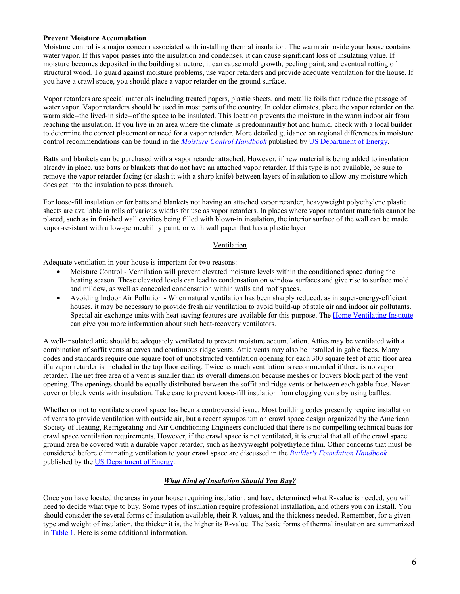#### **Prevent Moisture Accumulation**

Moisture control is a major concern associated with installing thermal insulation. The warm air inside your house contains water vapor. If this vapor passes into the insulation and condenses, it can cause significant loss of insulating value. If moisture becomes deposited in the building structure, it can cause mold growth, peeling paint, and eventual rotting of structural wood. To guard against moisture problems, use vapor retarders and provide adequate ventilation for the house. If you have a crawl space, you should place a vapor retarder on the ground surface.

Vapor retarders are special materials including treated papers, plastic sheets, and metallic foils that reduce the passage of water vapor. Vapor retarders should be used in most parts of the country. In colder climates, place the vapor retarder on the warm side--the lived-in side--of the space to be insulated. This location prevents the moisture in the warm indoor air from reaching the insulation. If you live in an area where the climate is predominantly hot and humid, check with a local builder to determine the correct placement or need for a vapor retarder. More detailed guidance on regional differences in moisture control recommendations can be found in the *Moisture Control Handbook* published by US Department of Energy.

Batts and blankets can be purchased with a vapor retarder attached. However, if new material is being added to insulation already in place, use batts or blankets that do not have an attached vapor retarder. If this type is not available, be sure to remove the vapor retarder facing (or slash it with a sharp knife) between layers of insulation to allow any moisture which does get into the insulation to pass through.

For loose-fill insulation or for batts and blankets not having an attached vapor retarder, heavyweight polyethylene plastic sheets are available in rolls of various widths for use as vapor retarders. In places where vapor retardant materials cannot be placed, such as in finished wall cavities being filled with blown-in insulation, the interior surface of the wall can be made vapor-resistant with a low-permeability paint, or with wall paper that has a plastic layer.

#### Ventilation

Adequate ventilation in your house is important for two reasons:

- Moisture Control Ventilation will prevent elevated moisture levels within the conditioned space during the heating season. These elevated levels can lead to condensation on window surfaces and give rise to surface mold and mildew, as well as concealed condensation within walls and roof spaces.
- Avoiding Indoor Air Pollution When natural ventilation has been sharply reduced, as in super-energy-efficient houses, it may be necessary to provide fresh air ventilation to avoid build-up of stale air and indoor air pollutants. Special air exchange units with heat-saving features are available for this purpose. The Home Ventilating Institute can give you more information about such heat-recovery ventilators.

A well-insulated attic should be adequately ventilated to prevent moisture accumulation. Attics may be ventilated with a combination of soffit vents at eaves and continuous ridge vents. Attic vents may also be installed in gable faces. Many codes and standards require one square foot of unobstructed ventilation opening for each 300 square feet of attic floor area if a vapor retarder is included in the top floor ceiling. Twice as much ventilation is recommended if there is no vapor retarder. The net free area of a vent is smaller than its overall dimension because meshes or louvers block part of the vent opening. The openings should be equally distributed between the soffit and ridge vents or between each gable face. Never cover or block vents with insulation. Take care to prevent loose-fill insulation from clogging vents by using baffles.

Whether or not to ventilate a crawl space has been a controversial issue. Most building codes presently require installation of vents to provide ventilation with outside air, but a recent symposium on crawl space design organized by the American Society of Heating, Refrigerating and Air Conditioning Engineers concluded that there is no compelling technical basis for crawl space ventilation requirements. However, if the crawl space is not ventilated, it is crucial that all of the crawl space ground area be covered with a durable vapor retarder, such as heavyweight polyethylene film. Other concerns that must be considered before eliminating ventilation to your crawl space are discussed in the *Builder's Foundation Handbook* published by the US Department of Energy.

## *What Kind of Insulation Should You Buy?*

Once you have located the areas in your house requiring insulation, and have determined what R-value is needed, you will need to decide what type to buy. Some types of insulation require professional installation, and others you can install. You should consider the several forms of insulation available, their R-values, and the thickness needed. Remember, for a given type and weight of insulation, the thicker it is, the higher its R-value. The basic forms of thermal insulation are summarized in Table 1. Here is some additional information.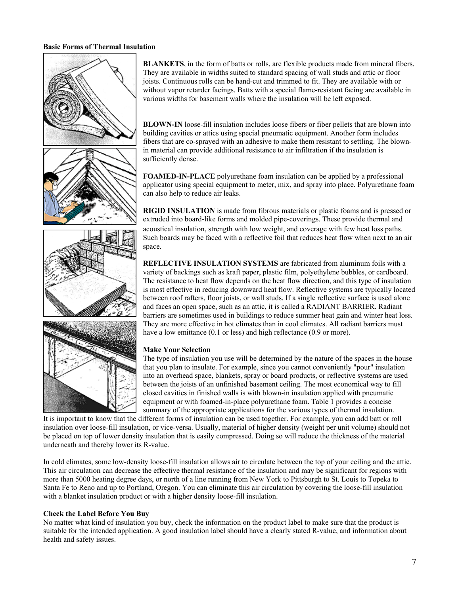#### **Basic Forms of Thermal Insulation**



**BLANKETS**, in the form of batts or rolls, are flexible products made from mineral fibers. They are available in widths suited to standard spacing of wall studs and attic or floor joists. Continuous rolls can be hand-cut and trimmed to fit. They are available with or without vapor retarder facings. Batts with a special flame-resistant facing are available in various widths for basement walls where the insulation will be left exposed.

**BLOWN-IN** loose-fill insulation includes loose fibers or fiber pellets that are blown into building cavities or attics using special pneumatic equipment. Another form includes fibers that are co-sprayed with an adhesive to make them resistant to settling. The blownin material can provide additional resistance to air infiltration if the insulation is sufficiently dense.

**FOAMED-IN-PLACE** polyurethane foam insulation can be applied by a professional applicator using special equipment to meter, mix, and spray into place. Polyurethane foam can also help to reduce air leaks.

**RIGID INSULATION** is made from fibrous materials or plastic foams and is pressed or extruded into board-like forms and molded pipe-coverings. These provide thermal and acoustical insulation, strength with low weight, and coverage with few heat loss paths. Such boards may be faced with a reflective foil that reduces heat flow when next to an air space.

**REFLECTIVE INSULATION SYSTEMS** are fabricated from aluminum foils with a variety of backings such as kraft paper, plastic film, polyethylene bubbles, or cardboard. The resistance to heat flow depends on the heat flow direction, and this type of insulation is most effective in reducing downward heat flow. Reflective systems are typically located between roof rafters, floor joists, or wall studs. If a single reflective surface is used alone and faces an open space, such as an attic, it is called a RADIANT BARRIER. Radiant barriers are sometimes used in buildings to reduce summer heat gain and winter heat loss. They are more effective in hot climates than in cool climates. All radiant barriers must have a low emittance (0.1 or less) and high reflectance (0.9 or more).

#### **Make Your Selection**

The type of insulation you use will be determined by the nature of the spaces in the house that you plan to insulate. For example, since you cannot conveniently "pour" insulation into an overhead space, blankets, spray or board products, or reflective systems are used between the joists of an unfinished basement ceiling. The most economical way to fill closed cavities in finished walls is with blown-in insulation applied with pneumatic equipment or with foamed-in-place polyurethane foam. Table 1 provides a concise summary of the appropriate applications for the various types of thermal insulation.

It is important to know that the different forms of insulation can be used together. For example, you can add batt or roll insulation over loose-fill insulation, or vice-versa. Usually, material of higher density (weight per unit volume) should not be placed on top of lower density insulation that is easily compressed. Doing so will reduce the thickness of the material underneath and thereby lower its R-value.

In cold climates, some low-density loose-fill insulation allows air to circulate between the top of your ceiling and the attic. This air circulation can decrease the effective thermal resistance of the insulation and may be significant for regions with more than 5000 heating degree days, or north of a line running from New York to Pittsburgh to St. Louis to Topeka to Santa Fe to Reno and up to Portland, Oregon. You can eliminate this air circulation by covering the loose-fill insulation with a blanket insulation product or with a higher density loose-fill insulation.

#### **Check the Label Before You Buy**

No matter what kind of insulation you buy, check the information on the product label to make sure that the product is suitable for the intended application. A good insulation label should have a clearly stated R-value, and information about health and safety issues.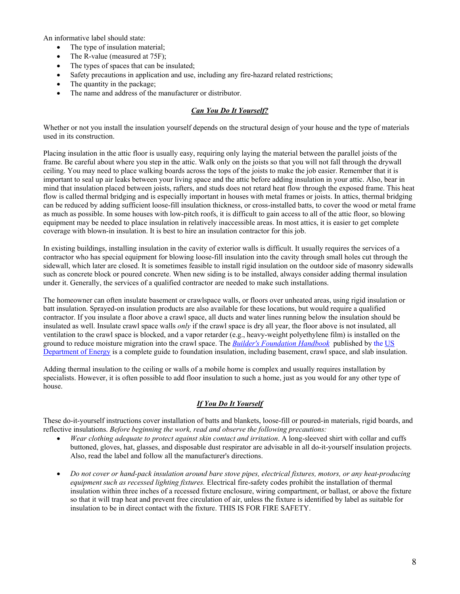An informative label should state:

- The type of insulation material;
- The R-value (measured at 75F);
- The types of spaces that can be insulated;
- Safety precautions in application and use, including any fire-hazard related restrictions;
- The quantity in the package;
- The name and address of the manufacturer or distributor.

### *Can You Do It Yourself?*

Whether or not you install the insulation yourself depends on the structural design of your house and the type of materials used in its construction.

Placing insulation in the attic floor is usually easy, requiring only laying the material between the parallel joists of the frame. Be careful about where you step in the attic. Walk only on the joists so that you will not fall through the drywall ceiling. You may need to place walking boards across the tops of the joists to make the job easier. Remember that it is important to seal up air leaks between your living space and the attic before adding insulation in your attic. Also, bear in mind that insulation placed between joists, rafters, and studs does not retard heat flow through the exposed frame. This heat flow is called thermal bridging and is especially important in houses with metal frames or joists. In attics, thermal bridging can be reduced by adding sufficient loose-fill insulation thickness, or cross-installed batts, to cover the wood or metal frame as much as possible. In some houses with low-pitch roofs, it is difficult to gain access to all of the attic floor, so blowing equipment may be needed to place insulation in relatively inaccessible areas. In most attics, it is easier to get complete coverage with blown-in insulation. It is best to hire an insulation contractor for this job.

In existing buildings, installing insulation in the cavity of exterior walls is difficult. It usually requires the services of a contractor who has special equipment for blowing loose-fill insulation into the cavity through small holes cut through the sidewall, which later are closed. It is sometimes feasible to install rigid insulation on the outdoor side of masonry sidewalls such as concrete block or poured concrete. When new siding is to be installed, always consider adding thermal insulation under it. Generally, the services of a qualified contractor are needed to make such installations.

The homeowner can often insulate basement or crawlspace walls, or floors over unheated areas, using rigid insulation or batt insulation. Sprayed-on insulation products are also available for these locations, but would require a qualified contractor. If you insulate a floor above a crawl space, all ducts and water lines running below the insulation should be insulated as well. Insulate crawl space walls *only* if the crawl space is dry all year, the floor above is not insulated, all ventilation to the crawl space is blocked, and a vapor retarder (e.g., heavy-weight polyethylene film) is installed on the ground to reduce moisture migration into the crawl space. The *Builder's Foundation Handbook* published by the US Department of Energy is a complete guide to foundation insulation, including basement, crawl space, and slab insulation.

Adding thermal insulation to the ceiling or walls of a mobile home is complex and usually requires installation by specialists. However, it is often possible to add floor insulation to such a home, just as you would for any other type of house.

## *If You Do It Yourself*

These do-it-yourself instructions cover installation of batts and blankets, loose-fill or poured-in materials, rigid boards, and reflective insulations. *Before beginning the work, read and observe the following precautions:*

- *Wear clothing adequate to protect against skin contact and irritation*. A long-sleeved shirt with collar and cuffs buttoned, gloves, hat, glasses, and disposable dust respirator are advisable in all do-it-yourself insulation projects. Also, read the label and follow all the manufacturer's directions.
- *Do not cover or hand-pack insulation around bare stove pipes, electrical fixtures, motors, or any heat-producing equipment such as recessed lighting fixtures.* Electrical fire-safety codes prohibit the installation of thermal insulation within three inches of a recessed fixture enclosure, wiring compartment, or ballast, or above the fixture so that it will trap heat and prevent free circulation of air, unless the fixture is identified by label as suitable for insulation to be in direct contact with the fixture. THIS IS FOR FIRE SAFETY.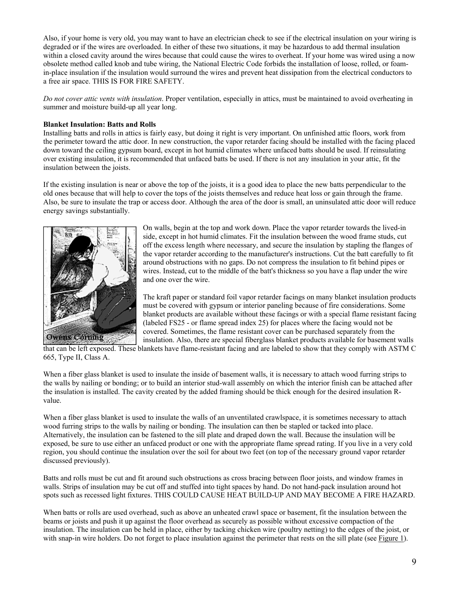Also, if your home is very old, you may want to have an electrician check to see if the electrical insulation on your wiring is degraded or if the wires are overloaded. In either of these two situations, it may be hazardous to add thermal insulation within a closed cavity around the wires because that could cause the wires to overheat. If your home was wired using a now obsolete method called knob and tube wiring, the National Electric Code forbids the installation of loose, rolled, or foamin-place insulation if the insulation would surround the wires and prevent heat dissipation from the electrical conductors to a free air space. THIS IS FOR FIRE SAFETY.

*Do not cover attic vents with insulation*. Proper ventilation, especially in attics, must be maintained to avoid overheating in summer and moisture build-up all year long.

#### **Blanket Insulation: Batts and Rolls**

Installing batts and rolls in attics is fairly easy, but doing it right is very important. On unfinished attic floors, work from the perimeter toward the attic door. In new construction, the vapor retarder facing should be installed with the facing placed down toward the ceiling gypsum board, except in hot humid climates where unfaced batts should be used. If reinsulating over existing insulation, it is recommended that unfaced batts be used. If there is not any insulation in your attic, fit the insulation between the joists.

If the existing insulation is near or above the top of the joists, it is a good idea to place the new batts perpendicular to the old ones because that will help to cover the tops of the joists themselves and reduce heat loss or gain through the frame. Also, be sure to insulate the trap or access door. Although the area of the door is small, an uninsulated attic door will reduce energy savings substantially.



On walls, begin at the top and work down. Place the vapor retarder towards the lived-in side, except in hot humid climates. Fit the insulation between the wood frame studs, cut off the excess length where necessary, and secure the insulation by stapling the flanges of the vapor retarder according to the manufacturer's instructions. Cut the batt carefully to fit around obstructions with no gaps. Do not compress the insulation to fit behind pipes or wires. Instead, cut to the middle of the batt's thickness so you have a flap under the wire and one over the wire.

The kraft paper or standard foil vapor retarder facings on many blanket insulation products must be covered with gypsum or interior paneling because of fire considerations. Some blanket products are available without these facings or with a special flame resistant facing (labeled FS25 - or flame spread index 25) for places where the facing would not be covered. Sometimes, the flame resistant cover can be purchased separately from the insulation. Also, there are special fiberglass blanket products available for basement walls

that can be left exposed. These blankets have flame-resistant facing and are labeled to show that they comply with ASTM C 665, Type II, Class A.

When a fiber glass blanket is used to insulate the inside of basement walls, it is necessary to attach wood furring strips to the walls by nailing or bonding; or to build an interior stud-wall assembly on which the interior finish can be attached after the insulation is installed. The cavity created by the added framing should be thick enough for the desired insulation Rvalue.

When a fiber glass blanket is used to insulate the walls of an unventilated crawlspace, it is sometimes necessary to attach wood furring strips to the walls by nailing or bonding. The insulation can then be stapled or tacked into place. Alternatively, the insulation can be fastened to the sill plate and draped down the wall. Because the insulation will be exposed, be sure to use either an unfaced product or one with the appropriate flame spread rating. If you live in a very cold region, you should continue the insulation over the soil for about two feet (on top of the necessary ground vapor retarder discussed previously).

Batts and rolls must be cut and fit around such obstructions as cross bracing between floor joists, and window frames in walls. Strips of insulation may be cut off and stuffed into tight spaces by hand. Do not hand-pack insulation around hot spots such as recessed light fixtures. THIS COULD CAUSE HEAT BUILD-UP AND MAY BECOME A FIRE HAZARD.

When batts or rolls are used overhead, such as above an unheated crawl space or basement, fit the insulation between the beams or joists and push it up against the floor overhead as securely as possible without excessive compaction of the insulation. The insulation can be held in place, either by tacking chicken wire (poultry netting) to the edges of the joist, or with snap-in wire holders. Do not forget to place insulation against the perimeter that rests on the sill plate (see Figure 1).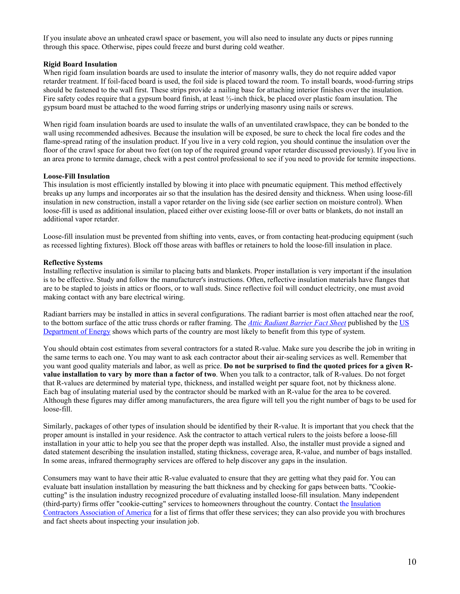If you insulate above an unheated crawl space or basement, you will also need to insulate any ducts or pipes running through this space. Otherwise, pipes could freeze and burst during cold weather.

#### **Rigid Board Insulation**

When rigid foam insulation boards are used to insulate the interior of masonry walls, they do not require added vapor retarder treatment. If foil-faced board is used, the foil side is placed toward the room. To install boards, wood-furring strips should be fastened to the wall first. These strips provide a nailing base for attaching interior finishes over the insulation. Fire safety codes require that a gypsum board finish, at least ½-inch thick, be placed over plastic foam insulation. The gypsum board must be attached to the wood furring strips or underlying masonry using nails or screws.

When rigid foam insulation boards are used to insulate the walls of an unventilated crawlspace, they can be bonded to the wall using recommended adhesives. Because the insulation will be exposed, be sure to check the local fire codes and the flame-spread rating of the insulation product. If you live in a very cold region, you should continue the insulation over the floor of the crawl space for about two feet (on top of the required ground vapor retarder discussed previously). If you live in an area prone to termite damage, check with a pest control professional to see if you need to provide for termite inspections.

#### **Loose-Fill Insulation**

This insulation is most efficiently installed by blowing it into place with pneumatic equipment. This method effectively breaks up any lumps and incorporates air so that the insulation has the desired density and thickness. When using loose-fill insulation in new construction, install a vapor retarder on the living side (see earlier section on moisture control). When loose-fill is used as additional insulation, placed either over existing loose-fill or over batts or blankets, do not install an additional vapor retarder.

Loose-fill insulation must be prevented from shifting into vents, eaves, or from contacting heat-producing equipment (such as recessed lighting fixtures). Block off those areas with baffles or retainers to hold the loose-fill insulation in place.

#### **Reflective Systems**

Installing reflective insulation is similar to placing batts and blankets. Proper installation is very important if the insulation is to be effective. Study and follow the manufacturer's instructions. Often, reflective insulation materials have flanges that are to be stapled to joists in attics or floors, or to wall studs. Since reflective foil will conduct electricity, one must avoid making contact with any bare electrical wiring.

Radiant barriers may be installed in attics in several configurations. The radiant barrier is most often attached near the roof, to the bottom surface of the attic truss chords or rafter framing. The *Attic Radiant Barrier Fact Sheet* published by the US Department of Energy shows which parts of the country are most likely to benefit from this type of system.

You should obtain cost estimates from several contractors for a stated R-value. Make sure you describe the job in writing in the same terms to each one. You may want to ask each contractor about their air-sealing services as well. Remember that you want good quality materials and labor, as well as price. **Do not be surprised to find the quoted prices for a given Rvalue installation to vary by more than a factor of two**. When you talk to a contractor, talk of R-values. Do not forget that R-values are determined by material type, thickness, and installed weight per square foot, not by thickness alone. Each bag of insulating material used by the contractor should be marked with an R-value for the area to be covered. Although these figures may differ among manufacturers, the area figure will tell you the right number of bags to be used for loose-fill.

Similarly, packages of other types of insulation should be identified by their R-value. It is important that you check that the proper amount is installed in your residence. Ask the contractor to attach vertical rulers to the joists before a loose-fill installation in your attic to help you see that the proper depth was installed. Also, the installer must provide a signed and dated statement describing the insulation installed, stating thickness, coverage area, R-value, and number of bags installed. In some areas, infrared thermography services are offered to help discover any gaps in the insulation.

Consumers may want to have their attic R-value evaluated to ensure that they are getting what they paid for. You can evaluate batt insulation installation by measuring the batt thickness and by checking for gaps between batts. "Cookiecutting" is the insulation industry recognized procedure of evaluating installed loose-fill insulation. Many independent (third-party) firms offer "cookie-cutting" services to homeowners throughout the country. Contact the Insulation Contractors Association of America for a list of firms that offer these services; they can also provide you with brochures and fact sheets about inspecting your insulation job.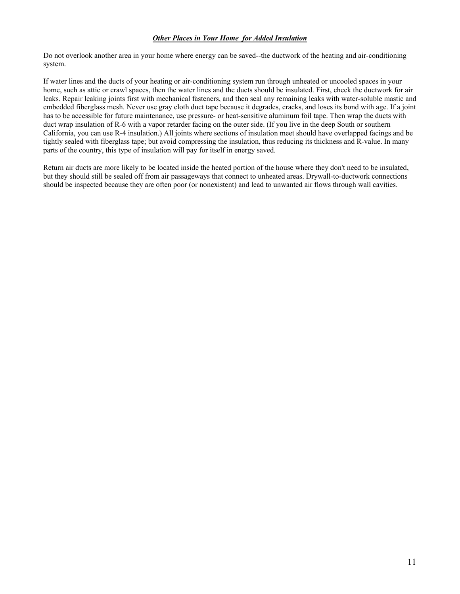#### *Other Places in Your Home for Added Insulation*

Do not overlook another area in your home where energy can be saved--the ductwork of the heating and air-conditioning system.

If water lines and the ducts of your heating or air-conditioning system run through unheated or uncooled spaces in your home, such as attic or crawl spaces, then the water lines and the ducts should be insulated. First, check the ductwork for air leaks. Repair leaking joints first with mechanical fasteners, and then seal any remaining leaks with water-soluble mastic and embedded fiberglass mesh. Never use gray cloth duct tape because it degrades, cracks, and loses its bond with age. If a joint has to be accessible for future maintenance, use pressure- or heat-sensitive aluminum foil tape. Then wrap the ducts with duct wrap insulation of R-6 with a vapor retarder facing on the outer side. (If you live in the deep South or southern California, you can use R-4 insulation.) All joints where sections of insulation meet should have overlapped facings and be tightly sealed with fiberglass tape; but avoid compressing the insulation, thus reducing its thickness and R-value. In many parts of the country, this type of insulation will pay for itself in energy saved.

Return air ducts are more likely to be located inside the heated portion of the house where they don't need to be insulated, but they should still be sealed off from air passageways that connect to unheated areas. Drywall-to-ductwork connections should be inspected because they are often poor (or nonexistent) and lead to unwanted air flows through wall cavities.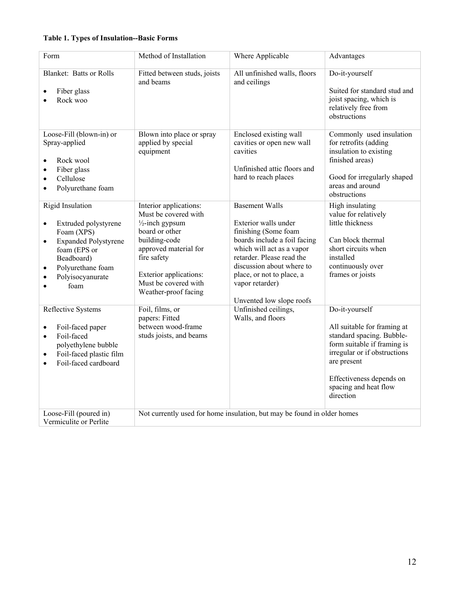# **Table 1. Types of Insulation--Basic Forms**

| Form                                                                                                                                                                                                                                         | Method of Installation                                                                                                                                                                                                            | Where Applicable                                                                                                                                                                                                                                                         | Advantages                                                                                                                                                                                                                 |  |  |
|----------------------------------------------------------------------------------------------------------------------------------------------------------------------------------------------------------------------------------------------|-----------------------------------------------------------------------------------------------------------------------------------------------------------------------------------------------------------------------------------|--------------------------------------------------------------------------------------------------------------------------------------------------------------------------------------------------------------------------------------------------------------------------|----------------------------------------------------------------------------------------------------------------------------------------------------------------------------------------------------------------------------|--|--|
| <b>Blanket: Batts or Rolls</b><br>Fiber glass<br>Rock woo<br>$\bullet$                                                                                                                                                                       | Fitted between studs, joists<br>and beams                                                                                                                                                                                         | All unfinished walls, floors<br>and ceilings                                                                                                                                                                                                                             | Do-it-yourself<br>Suited for standard stud and<br>joist spacing, which is<br>relatively free from<br>obstructions                                                                                                          |  |  |
| Loose-Fill (blown-in) or<br>Spray-applied<br>Rock wool<br>$\bullet$<br>Fiber glass<br>$\bullet$<br>Cellulose<br>$\bullet$<br>Polyurethane foam<br>$\bullet$                                                                                  | Blown into place or spray<br>applied by special<br>equipment                                                                                                                                                                      | Enclosed existing wall<br>cavities or open new wall<br>cavities<br>Unfinished attic floors and<br>hard to reach places                                                                                                                                                   | Commonly used insulation<br>for retrofits (adding<br>insulation to existing<br>finished areas)<br>Good for irregularly shaped<br>areas and around<br>obstructions                                                          |  |  |
| <b>Rigid Insulation</b><br>Extruded polystyrene<br>$\bullet$<br>Foam (XPS)<br><b>Expanded Polystyrene</b><br>$\bullet$<br>foam (EPS or<br>Beadboard)<br>Polyurethane foam<br>$\bullet$<br>Polyisocyanurate<br>$\bullet$<br>foam<br>$\bullet$ | Interior applications:<br>Must be covered with<br>$\frac{1}{2}$ -inch gypsum<br>board or other<br>building-code<br>approved material for<br>fire safety<br>Exterior applications:<br>Must be covered with<br>Weather-proof facing | <b>Basement Walls</b><br>Exterior walls under<br>finishing (Some foam<br>boards include a foil facing<br>which will act as a vapor<br>retarder. Please read the<br>discussion about where to<br>place, or not to place, a<br>vapor retarder)<br>Unvented low slope roofs | High insulating<br>value for relatively<br>little thickness<br>Can block thermal<br>short circuits when<br>installed<br>continuously over<br>frames or joists                                                              |  |  |
| Reflective Systems<br>Foil-faced paper<br>٠<br>Foil-faced<br>$\bullet$<br>polyethylene bubble<br>Foil-faced plastic film<br>$\bullet$<br>Foil-faced cardboard<br>$\bullet$                                                                   | Foil, films, or<br>papers: Fitted<br>between wood-frame<br>studs joists, and beams                                                                                                                                                | Unfinished ceilings,<br>Walls, and floors                                                                                                                                                                                                                                | Do-it-yourself<br>All suitable for framing at<br>standard spacing. Bubble-<br>form suitable if framing is<br>irregular or if obstructions<br>are present<br>Effectiveness depends on<br>spacing and heat flow<br>direction |  |  |
| Loose-Fill (poured in)<br>Vermiculite or Perlite                                                                                                                                                                                             | Not currently used for home insulation, but may be found in older homes                                                                                                                                                           |                                                                                                                                                                                                                                                                          |                                                                                                                                                                                                                            |  |  |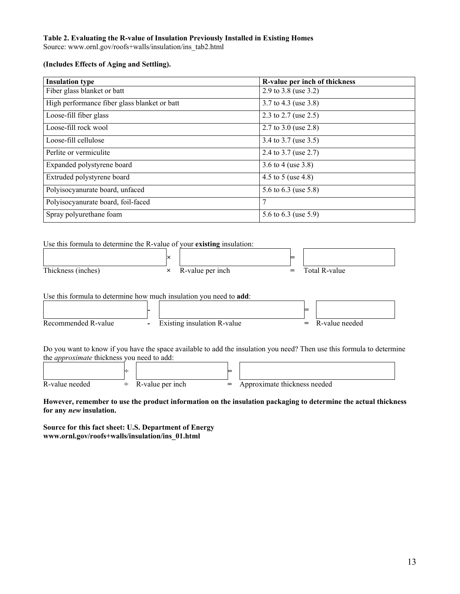## **Table 2. Evaluating the R-value of Insulation Previously Installed in Existing Homes**

Source: www.ornl.gov/roofs+walls/insulation/ins\_tab2.html

**(Includes Effects of Aging and Settling).**

| <b>Insulation type</b>                       | R-value per inch of thickness |  |  |  |
|----------------------------------------------|-------------------------------|--|--|--|
| Fiber glass blanket or batt                  | 2.9 to 3.8 (use 3.2)          |  |  |  |
| High performance fiber glass blanket or batt | 3.7 to 4.3 (use 3.8)          |  |  |  |
| Loose-fill fiber glass                       | 2.3 to 2.7 (use 2.5)          |  |  |  |
| Loose-fill rock wool                         | 2.7 to 3.0 (use 2.8)          |  |  |  |
| Loose-fill cellulose                         | 3.4 to 3.7 (use 3.5)          |  |  |  |
| Perlite or vermiculite                       | 2.4 to 3.7 (use 2.7)          |  |  |  |
| Expanded polystyrene board                   | 3.6 to 4 (use $3.8$ )         |  |  |  |
| Extruded polystyrene board                   | 4.5 to 5 (use 4.8)            |  |  |  |
| Polyisocyanurate board, unfaced              | 5.6 to 6.3 (use 5.8)          |  |  |  |
| Polyisocyanurate board, foil-faced           | 7                             |  |  |  |
| Spray polyurethane foam                      | 5.6 to 6.3 (use 5.9)          |  |  |  |

| Use this formula to determine the R-value of your existing insulation: |          |                             |   |                                                                                                                        |
|------------------------------------------------------------------------|----------|-----------------------------|---|------------------------------------------------------------------------------------------------------------------------|
|                                                                        | ×        |                             |   |                                                                                                                        |
| Thickness (inches)                                                     | $\times$ | R-value per inch            | = | Total R-value                                                                                                          |
| Use this formula to determine how much insulation you need to add:     |          |                             |   | I                                                                                                                      |
| Recommended R-value                                                    |          | Existing insulation R-value |   | R-value needed<br>$=$                                                                                                  |
| the <i>approximate</i> thickness you need to add:                      |          |                             |   | Do you want to know if you have the space available to add the insulation you need? Then use this formula to determine |

| R-value needed | $\div$ R-value per inch | $=$ | Approximate thickness needed |
|----------------|-------------------------|-----|------------------------------|

**However, remember to use the product information on the insulation packaging to determine the actual thickness for any** *new* **insulation.**

**Source for this fact sheet: U.S. Department of Energy www.ornl.gov/roofs+walls/insulation/ins\_01.html**